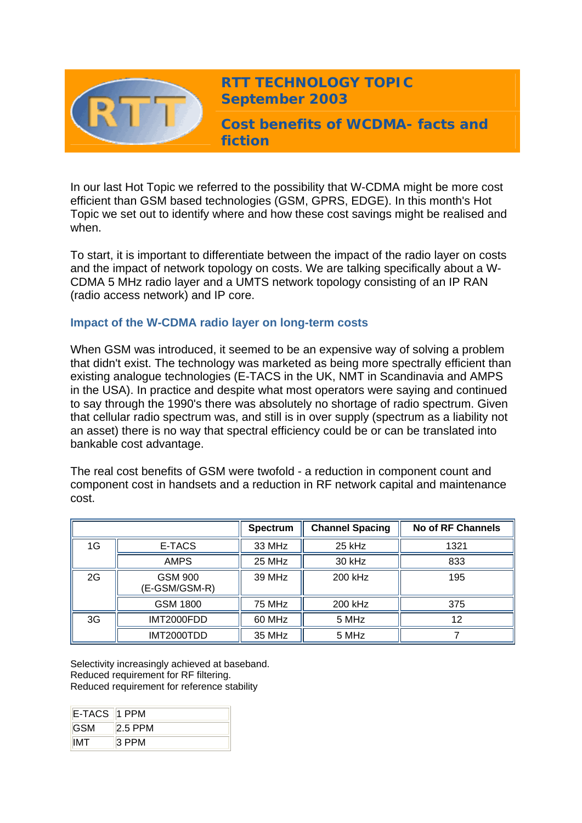

**RTT TECHNOLOGY TOPIC September 2003**

**Cost benefits of WCDMA- facts and fiction** 

In our last Hot Topic we referred to the possibility that W-CDMA might be more cost efficient than GSM based technologies (GSM, GPRS, EDGE). In this month's Hot Topic we set out to identify where and how these cost savings might be realised and when.

To start, it is important to differentiate between the impact of the radio layer on costs and the impact of network topology on costs. We are talking specifically about a W-CDMA 5 MHz radio layer and a UMTS network topology consisting of an IP RAN (radio access network) and IP core.

## **Impact of the W-CDMA radio layer on long-term costs**

When GSM was introduced, it seemed to be an expensive way of solving a problem that didn't exist. The technology was marketed as being more spectrally efficient than existing analogue technologies (E-TACS in the UK, NMT in Scandinavia and AMPS in the USA). In practice and despite what most operators were saying and continued to say through the 1990's there was absolutely no shortage of radio spectrum. Given that cellular radio spectrum was, and still is in over supply (spectrum as a liability not an asset) there is no way that spectral efficiency could be or can be translated into bankable cost advantage.

The real cost benefits of GSM were twofold - a reduction in component count and component cost in handsets and a reduction in RF network capital and maintenance cost.

|    |                                 | <b>Spectrum</b> | <b>Channel Spacing</b> | No of RF Channels |
|----|---------------------------------|-----------------|------------------------|-------------------|
| 1G | E-TACS                          | 33 MHz          | $25$ kHz               | 1321              |
|    | <b>AMPS</b>                     | 25 MHz          | 30 kHz                 | 833               |
| 2G | <b>GSM 900</b><br>(E-GSM/GSM-R) | 39 MHz          | 200 kHz                | 195               |
|    | <b>GSM 1800</b>                 | 75 MHz          | 200 kHz                | 375               |
| 3G | IMT2000FDD                      | 60 MHz          | 5 MHz                  | 12                |
|    | IMT2000TDD                      | 35 MHz          | 5 MHz                  |                   |

Selectivity increasingly achieved at baseband. Reduced requirement for RF filtering. Reduced requirement for reference stability

| E-TACS 1 PPM |           |
|--------------|-----------|
| <b>GSM</b>   | $2.5$ PPM |
| <b>IMT</b>   | 3 PPM     |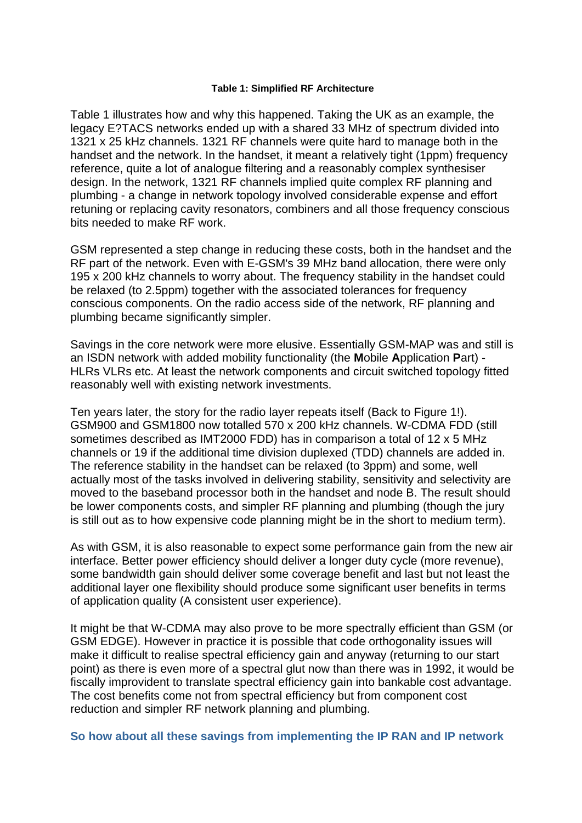#### **Table 1: Simplified RF Architecture**

Table 1 illustrates how and why this happened. Taking the UK as an example, the legacy E?TACS networks ended up with a shared 33 MHz of spectrum divided into 1321 x 25 kHz channels. 1321 RF channels were quite hard to manage both in the handset and the network. In the handset, it meant a relatively tight (1ppm) frequency reference, quite a lot of analogue filtering and a reasonably complex synthesiser design. In the network, 1321 RF channels implied quite complex RF planning and plumbing - a change in network topology involved considerable expense and effort retuning or replacing cavity resonators, combiners and all those frequency conscious bits needed to make RF work.

GSM represented a step change in reducing these costs, both in the handset and the RF part of the network. Even with E-GSM's 39 MHz band allocation, there were only 195 x 200 kHz channels to worry about. The frequency stability in the handset could be relaxed (to 2.5ppm) together with the associated tolerances for frequency conscious components. On the radio access side of the network, RF planning and plumbing became significantly simpler.

Savings in the core network were more elusive. Essentially GSM-MAP was and still is an ISDN network with added mobility functionality (the **M**obile **A**pplication **P**art) - HLRs VLRs etc. At least the network components and circuit switched topology fitted reasonably well with existing network investments.

Ten years later, the story for the radio layer repeats itself (Back to Figure 1!). GSM900 and GSM1800 now totalled 570 x 200 kHz channels. W-CDMA FDD (still sometimes described as IMT2000 FDD) has in comparison a total of 12 x 5 MHz channels or 19 if the additional time division duplexed (TDD) channels are added in. The reference stability in the handset can be relaxed (to 3ppm) and some, well actually most of the tasks involved in delivering stability, sensitivity and selectivity are moved to the baseband processor both in the handset and node B. The result should be lower components costs, and simpler RF planning and plumbing (though the jury is still out as to how expensive code planning might be in the short to medium term).

As with GSM, it is also reasonable to expect some performance gain from the new air interface. Better power efficiency should deliver a longer duty cycle (more revenue), some bandwidth gain should deliver some coverage benefit and last but not least the additional layer one flexibility should produce some significant user benefits in terms of application quality (A consistent user experience).

It might be that W-CDMA may also prove to be more spectrally efficient than GSM (or GSM EDGE). However in practice it is possible that code orthogonality issues will make it difficult to realise spectral efficiency gain and anyway (returning to our start point) as there is even more of a spectral glut now than there was in 1992, it would be fiscally improvident to translate spectral efficiency gain into bankable cost advantage. The cost benefits come not from spectral efficiency but from component cost reduction and simpler RF network planning and plumbing.

**So how about all these savings from implementing the IP RAN and IP network**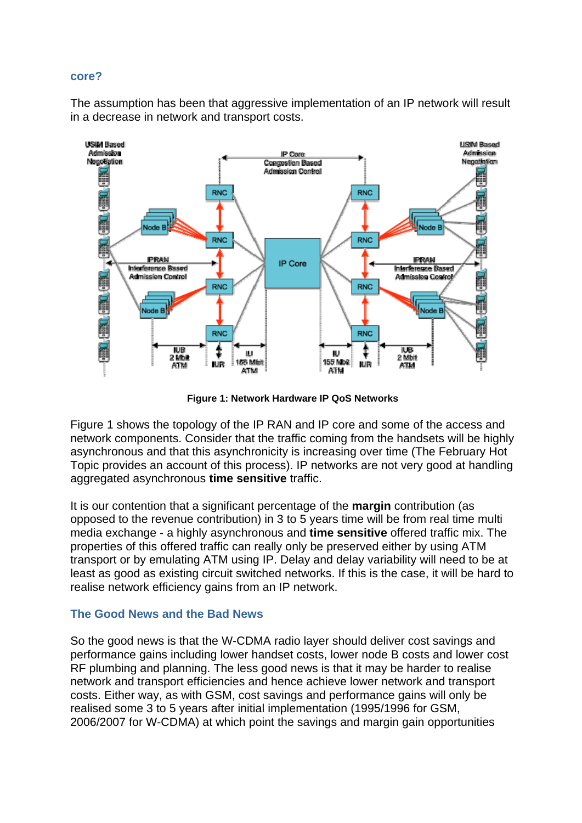#### **core?**

The assumption has been that aggressive implementation of an IP network will result in a decrease in network and transport costs.



**Figure 1: Network Hardware IP QoS Networks**

Figure 1 shows the topology of the IP RAN and IP core and some of the access and network components. Consider that the traffic coming from the handsets will be highly asynchronous and that this asynchronicity is increasing over time (The February Hot Topic provides an account of this process). IP networks are not very good at handling aggregated asynchronous **time sensitive** traffic.

It is our contention that a significant percentage of the **margin** contribution (as opposed to the revenue contribution) in 3 to 5 years time will be from real time multi media exchange - a highly asynchronous and **time sensitive** offered traffic mix. The properties of this offered traffic can really only be preserved either by using ATM transport or by emulating ATM using IP. Delay and delay variability will need to be at least as good as existing circuit switched networks. If this is the case, it will be hard to realise network efficiency gains from an IP network.

### **The Good News and the Bad News**

So the good news is that the W-CDMA radio layer should deliver cost savings and performance gains including lower handset costs, lower node B costs and lower cost RF plumbing and planning. The less good news is that it may be harder to realise network and transport efficiencies and hence achieve lower network and transport costs. Either way, as with GSM, cost savings and performance gains will only be realised some 3 to 5 years after initial implementation (1995/1996 for GSM, 2006/2007 for W-CDMA) at which point the savings and margin gain opportunities